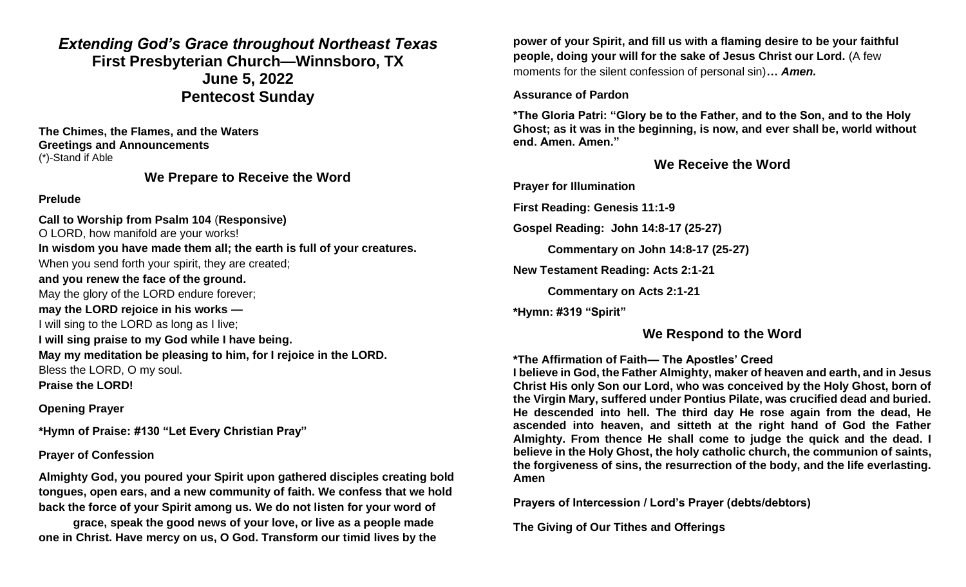## *Extending God's Grace throughout Northeast Texas* **First Presbyterian Church—Winnsboro, TX June 5, 2022 Pentecost Sunday**

**The Chimes, the Flames, and the Waters Greetings and Announcements** (\*)-Stand if Able

## **We Prepare to Receive the Word**

#### **Prelude**

**Call to Worship from Psalm 104** (**Responsive)** O LORD, how manifold are your works! **In wisdom you have made them all; the earth is full of your creatures.** When you send forth your spirit, they are created; **and you renew the face of the ground.** May the glory of the LORD endure forever; **may the LORD rejoice in his works —** I will sing to the LORD as long as I live; **I will sing praise to my God while I have being. May my meditation be pleasing to him, for I rejoice in the LORD.** Bless the LORD, O my soul. **Praise the LORD!**

### **Opening Prayer**

**\*Hymn of Praise: #130 "Let Every Christian Pray"**

### **Prayer of Confession**

**Almighty God, you poured your Spirit upon gathered disciples creating bold tongues, open ears, and a new community of faith. We confess that we hold back the force of your Spirit among us. We do not listen for your word of** 

**grace, speak the good news of your love, or live as a people made one in Christ. Have mercy on us, O God. Transform our timid lives by the** 

**power of your Spirit, and fill us with a flaming desire to be your faithful people, doing your will for the sake of Jesus Christ our Lord.** (A few moments for the silent confession of personal sin)**…** *Amen.*

## **Assurance of Pardon**

**\*The Gloria Patri: "Glory be to the Father, and to the Son, and to the Holy Ghost; as it was in the beginning, is now, and ever shall be, world without end. Amen. Amen."**

## **We Receive the Word**

**Prayer for Illumination**

**First Reading: Genesis 11:1-9**

**Gospel Reading: John 14:8-17 (25-27)**

**Commentary on John 14:8-17 (25-27)** 

**New Testament Reading: Acts 2:1-21**

**Commentary on Acts 2:1-21**

**\*Hymn: #319 "Spirit"**

## **We Respond to the Word**

## **\*The Affirmation of Faith— The Apostles' Creed**

**I believe in God, the Father Almighty, maker of heaven and earth, and in Jesus Christ His only Son our Lord, who was conceived by the Holy Ghost, born of the Virgin Mary, suffered under Pontius Pilate, was crucified dead and buried. He descended into hell. The third day He rose again from the dead, He ascended into heaven, and sitteth at the right hand of God the Father Almighty. From thence He shall come to judge the quick and the dead. I believe in the Holy Ghost, the holy catholic church, the communion of saints, the forgiveness of sins, the resurrection of the body, and the life everlasting. Amen**

**Prayers of Intercession / Lord's Prayer (debts/debtors)** 

**The Giving of Our Tithes and Offerings**